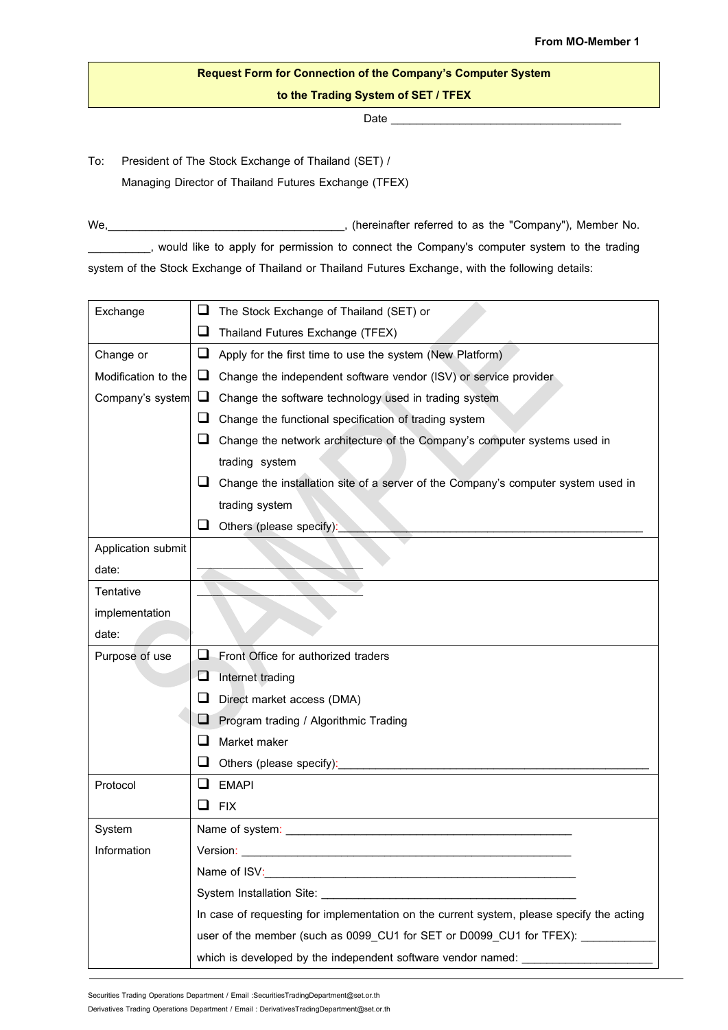## **Request Form for Connection of the Company's Computer System to the Trading System of SET/TFEX**

Date \_\_\_\_\_\_\_\_\_\_\_\_\_\_\_\_\_\_\_\_\_\_\_\_\_\_\_\_\_\_\_\_\_\_\_\_\_

To: President of The Stock Exchange of Thailand (SET) / Managing Director of Thailand Futures Exchange (TFEX)

We, Mentenberry (hereinafter referred to as the "Company"), Member No. \_\_\_\_\_\_\_\_\_\_, would like to apply for permission to connect the Company's computer system to the trading system of the Stock Exchange of Thailand or Thailand Futures Exchange, with the following details:

| Exchange            | ⊔                                                                                         | The Stock Exchange of Thailand (SET) or                                           |
|---------------------|-------------------------------------------------------------------------------------------|-----------------------------------------------------------------------------------|
|                     | ⊔                                                                                         | Thailand Futures Exchange (TFEX)                                                  |
| Change or           | ⊔                                                                                         | Apply for the first time to use the system (New Platform)                         |
| Modification to the | ⊔                                                                                         | Change the independent software vendor (ISV) or service provider                  |
| Company's system    | Change the software technology used in trading system<br>⊔                                |                                                                                   |
|                     | ⊔                                                                                         | Change the functional specification of trading system                             |
|                     | ப                                                                                         | Change the network architecture of the Company's computer systems used in         |
|                     |                                                                                           | trading system                                                                    |
|                     | ப                                                                                         | Change the installation site of a server of the Company's computer system used in |
|                     |                                                                                           | trading system                                                                    |
|                     | ⊔                                                                                         | Others (please specify):                                                          |
| Application submit  |                                                                                           |                                                                                   |
| date:               |                                                                                           |                                                                                   |
| Tentative           |                                                                                           |                                                                                   |
| implementation      |                                                                                           |                                                                                   |
| date:               |                                                                                           |                                                                                   |
| Purpose of use      | ⊔                                                                                         | Front Office for authorized traders                                               |
|                     | ❏                                                                                         | Internet trading                                                                  |
|                     | ⊔                                                                                         | Direct market access (DMA)                                                        |
|                     | ⊔                                                                                         | Program trading / Algorithmic Trading                                             |
|                     | ш                                                                                         | Market maker                                                                      |
|                     | ⊔                                                                                         | Others (please specify):                                                          |
| Protocol            | ப                                                                                         | <b>EMAPI</b>                                                                      |
|                     | ப                                                                                         | <b>FIX</b>                                                                        |
| System              |                                                                                           | Name of system:                                                                   |
| Information         | Version:                                                                                  |                                                                                   |
|                     |                                                                                           |                                                                                   |
|                     | System Installation Site: System Installation Site:                                       |                                                                                   |
|                     | In case of requesting for implementation on the current system, please specify the acting |                                                                                   |
|                     |                                                                                           | user of the member (such as 0099_CU1 for SET or D0099_CU1 for TFEX): ___________  |
|                     |                                                                                           | which is developed by the independent software vendor named: ___________________  |

Securities Trading Operations Department / Email :SecuritiesTradingDepartment@set.or.th

Derivatives Trading Operations Department / Email : DerivativesTradingDepartment@set.or.th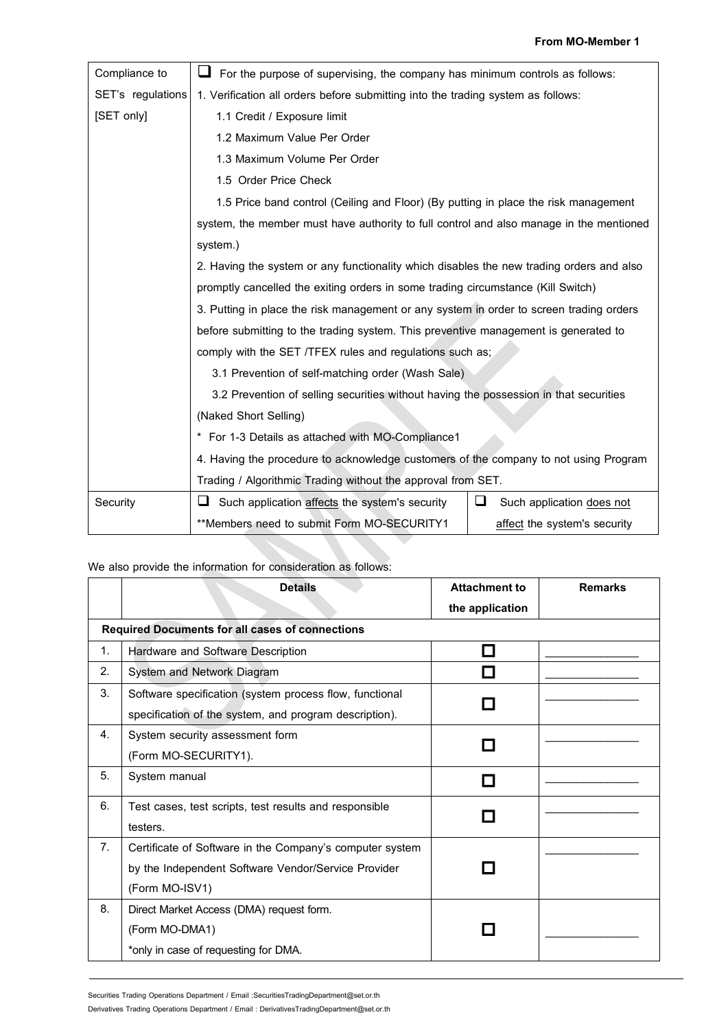| Compliance to     | For the purpose of supervising, the company has minimum controls as follows:             |                                |  |  |
|-------------------|------------------------------------------------------------------------------------------|--------------------------------|--|--|
| SET's regulations | 1. Verification all orders before submitting into the trading system as follows:         |                                |  |  |
| [SET only]        | 1.1 Credit / Exposure limit                                                              |                                |  |  |
|                   | 1.2 Maximum Value Per Order                                                              |                                |  |  |
|                   | 1.3 Maximum Volume Per Order                                                             |                                |  |  |
|                   | 1.5 Order Price Check                                                                    |                                |  |  |
|                   | 1.5 Price band control (Ceiling and Floor) (By putting in place the risk management      |                                |  |  |
|                   | system, the member must have authority to full control and also manage in the mentioned  |                                |  |  |
|                   | system.)                                                                                 |                                |  |  |
|                   | 2. Having the system or any functionality which disables the new trading orders and also |                                |  |  |
|                   | promptly cancelled the exiting orders in some trading circumstance (Kill Switch)         |                                |  |  |
|                   | 3. Putting in place the risk management or any system in order to screen trading orders  |                                |  |  |
|                   | before submitting to the trading system. This preventive management is generated to      |                                |  |  |
|                   | comply with the SET /TFEX rules and regulations such as;                                 |                                |  |  |
|                   | 3.1 Prevention of self-matching order (Wash Sale)                                        |                                |  |  |
|                   | 3.2 Prevention of selling securities without having the possession in that securities    |                                |  |  |
|                   | (Naked Short Selling)                                                                    |                                |  |  |
|                   | * For 1-3 Details as attached with MO-Compliance1                                        |                                |  |  |
|                   | 4. Having the procedure to acknowledge customers of the company to not using Program     |                                |  |  |
|                   | Trading / Algorithmic Trading without the approval from SET.                             |                                |  |  |
| Security          | Such application affects the system's security<br>ப                                      | ப<br>Such application does not |  |  |
|                   | **Members need to submit Form MO-SECURITY1                                               | affect the system's security   |  |  |

## We also provide the information for consideration as follows:

|    | <b>Details</b>                                           | <b>Attachment to</b><br>the application | <b>Remarks</b> |
|----|----------------------------------------------------------|-----------------------------------------|----------------|
|    | <b>Required Documents for all cases of connections</b>   |                                         |                |
| 1. | Hardware and Software Description                        |                                         |                |
| 2. | System and Network Diagram                               |                                         |                |
| 3. | Software specification (system process flow, functional  |                                         |                |
|    | specification of the system, and program description).   |                                         |                |
| 4. | System security assessment form                          |                                         |                |
|    | (Form MO-SECURITY1).                                     |                                         |                |
| 5. | System manual                                            |                                         |                |
| 6. | Test cases, test scripts, test results and responsible   |                                         |                |
|    | testers.                                                 |                                         |                |
| 7. | Certificate of Software in the Company's computer system |                                         |                |
|    | by the Independent Software Vendor/Service Provider      |                                         |                |
|    | (Form MO-ISV1)                                           |                                         |                |
| 8. | Direct Market Access (DMA) request form.                 |                                         |                |
|    | (Form MO-DMA1)                                           |                                         |                |
|    | *only in case of requesting for DMA.                     |                                         |                |

Securities Trading Operations Department / Email :SecuritiesTradingDepartment@set.or.th

Derivatives Trading Operations Department / Email : DerivativesTradingDepartment@set.or.th